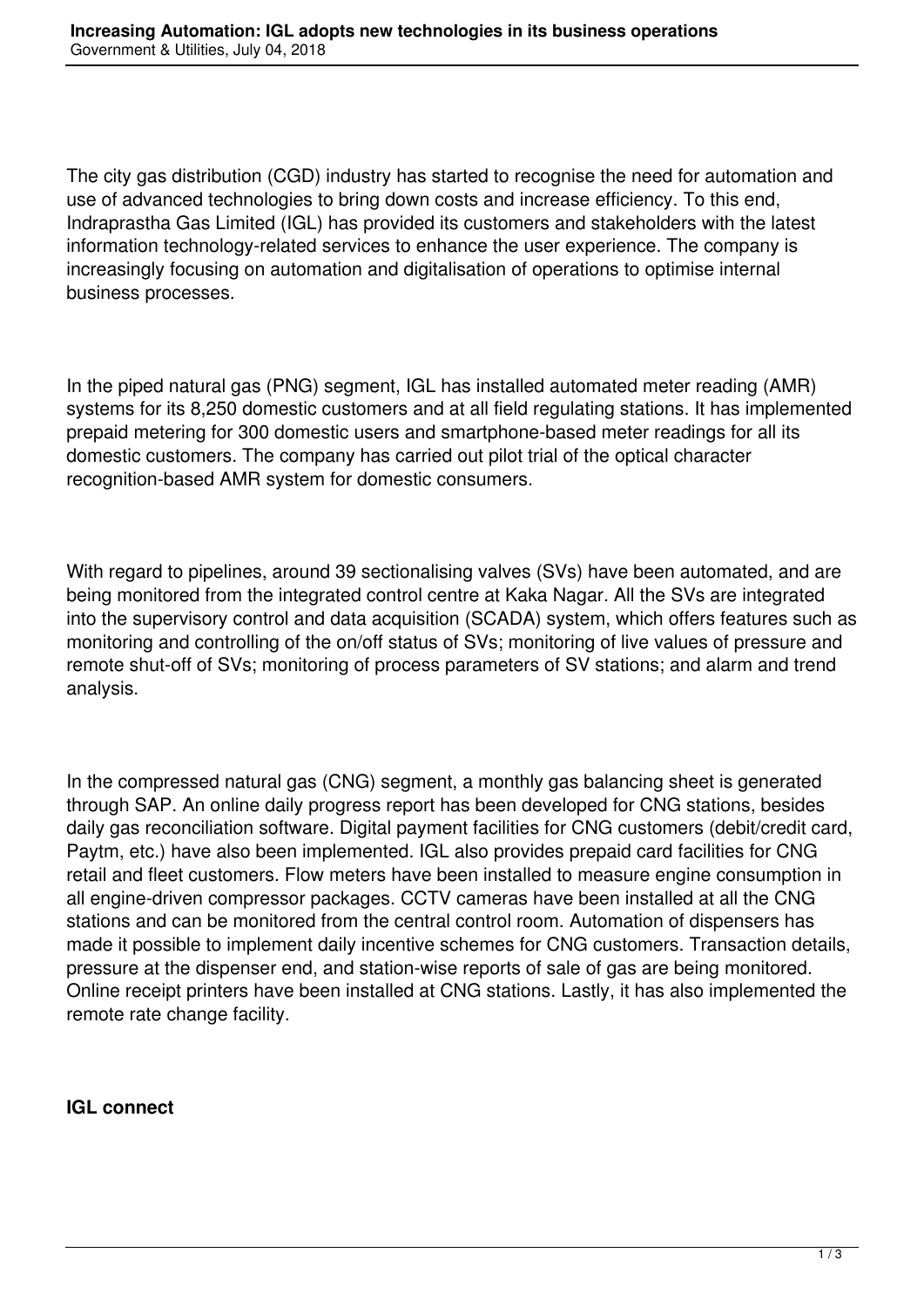The city gas distribution (CGD) industry has started to recognise the need for automation and use of advanced technologies to bring down costs and increase efficiency. To this end, Indraprastha Gas Limited (IGL) has provided its customers and stakeholders with the latest information technology-related services to enhance the user experience. The company is increasingly focusing on automation and digitalisation of operations to optimise internal business processes.

In the piped natural gas (PNG) segment, IGL has installed automated meter reading (AMR) systems for its 8,250 domestic customers and at all field regulating stations. It has implemented prepaid metering for 300 domestic users and smartphone-based meter readings for all its domestic customers. The company has carried out pilot trial of the optical character recognition-based AMR system for domestic consumers.

With regard to pipelines, around 39 sectionalising valves (SVs) have been automated, and are being monitored from the integrated control centre at Kaka Nagar. All the SVs are integrated into the supervisory control and data acquisition (SCADA) system, which offers features such as monitoring and controlling of the on/off status of SVs; monitoring of live values of pressure and remote shut-off of SVs; monitoring of process parameters of SV stations; and alarm and trend analysis.

In the compressed natural gas (CNG) segment, a monthly gas balancing sheet is generated through SAP. An online daily progress report has been developed for CNG stations, besides daily gas reconciliation software. Digital payment facilities for CNG customers (debit/credit card, Paytm, etc.) have also been implemented. IGL also provides prepaid card facilities for CNG retail and fleet customers. Flow meters have been installed to measure engine consumption in all engine-driven compressor packages. CCTV cameras have been installed at all the CNG stations and can be monitored from the central control room. Automation of dispensers has made it possible to implement daily incentive schemes for CNG customers. Transaction details, pressure at the dispenser end, and station-wise reports of sale of gas are being monitored. Online receipt printers have been installed at CNG stations. Lastly, it has also implemented the remote rate change facility.

## **IGL connect**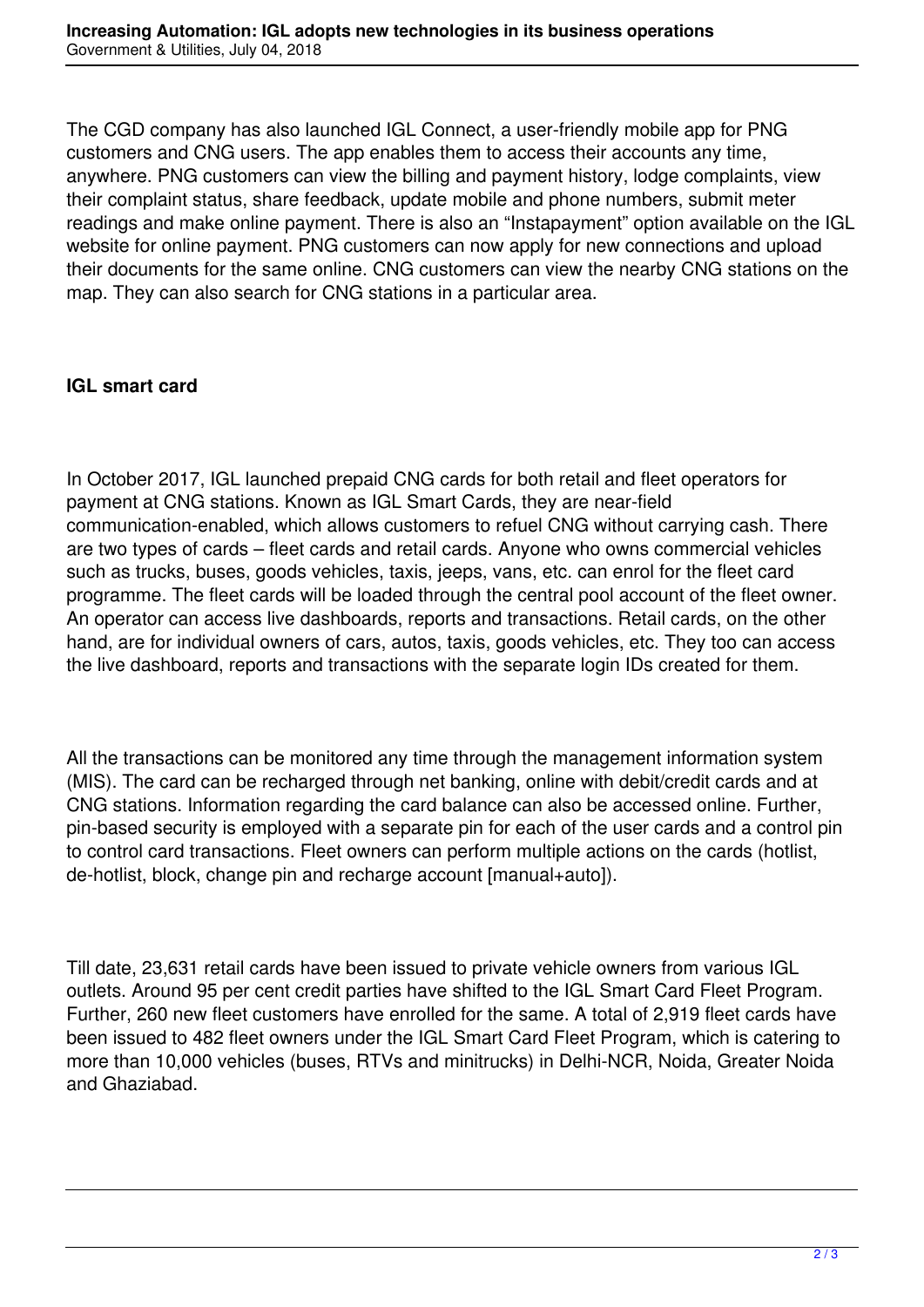The CGD company has also launched IGL Connect, a user-friendly mobile app for PNG customers and CNG users. The app enables them to access their accounts any time, anywhere. PNG customers can view the billing and payment history, lodge complaints, view their complaint status, share feedback, update mobile and phone numbers, submit meter readings and make online payment. There is also an "Instapayment" option available on the IGL website for online payment. PNG customers can now apply for new connections and upload their documents for the same online. CNG customers can view the nearby CNG stations on the map. They can also search for CNG stations in a particular area.

## **IGL smart card**

In October 2017, IGL launched prepaid CNG cards for both retail and fleet operators for payment at CNG stations. Known as IGL Smart Cards, they are near-field communication-enabled, which allows customers to refuel CNG without carrying cash. There are two types of cards – fleet cards and retail cards. Anyone who owns commercial vehicles such as trucks, buses, goods vehicles, taxis, jeeps, vans, etc. can enrol for the fleet card programme. The fleet cards will be loaded through the central pool account of the fleet owner. An operator can access live dashboards, reports and transactions. Retail cards, on the other hand, are for individual owners of cars, autos, taxis, goods vehicles, etc. They too can access the live dashboard, reports and transactions with the separate login IDs created for them.

All the transactions can be monitored any time through the management information system (MIS). The card can be recharged through net banking, online with debit/credit cards and at CNG stations. Information regarding the card balance can also be accessed online. Further, pin-based security is employed with a separate pin for each of the user cards and a control pin to control card transactions. Fleet owners can perform multiple actions on the cards (hotlist, de-hotlist, block, change pin and recharge account [manual+auto]).

Till date, 23,631 retail cards have been issued to private vehicle owners from various IGL outlets. Around 95 per cent credit parties have shifted to the IGL Smart Card Fleet Program. Further, 260 new fleet customers have enrolled for the same. A total of 2,919 fleet cards have been issued to 482 fleet owners under the IGL Smart Card Fleet Program, which is catering to more than 10,000 vehicles (buses, RTVs and minitrucks) in Delhi-NCR, Noida, Greater Noida and Ghaziabad.